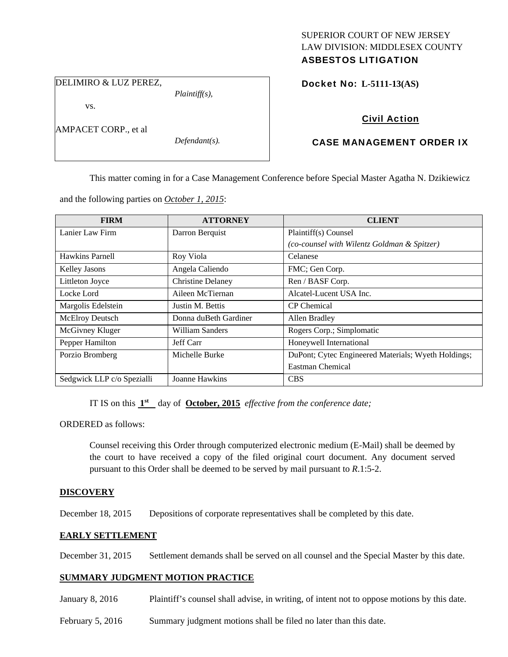# SUPERIOR COURT OF NEW JERSEY LAW DIVISION: MIDDLESEX COUNTY

# ASBESTOS LITIGATION

DELIMIRO & LUZ PEREZ,

*Plaintiff(s),* 

Docket No: **L-5111-13(AS)** 

vs.

AMPACET CORP., et al

*Defendant(s).* 

## Civil Action

### CASE MANAGEMENT ORDER IX

This matter coming in for a Case Management Conference before Special Master Agatha N. Dzikiewicz

and the following parties on *October 1, 2015*:

| <b>FIRM</b>                | <b>ATTORNEY</b>          | <b>CLIENT</b>                                       |
|----------------------------|--------------------------|-----------------------------------------------------|
| Lanier Law Firm            | Darron Berquist          | Plaintiff(s) Counsel                                |
|                            |                          | (co-counsel with Wilentz Goldman & Spitzer)         |
| Hawkins Parnell            | Roy Viola                | Celanese                                            |
| Kelley Jasons              | Angela Caliendo          | FMC; Gen Corp.                                      |
| Littleton Joyce            | <b>Christine Delaney</b> | Ren / BASF Corp.                                    |
| Locke Lord                 | Aileen McTiernan         | Alcatel-Lucent USA Inc.                             |
| Margolis Edelstein         | Justin M. Bettis         | <b>CP</b> Chemical                                  |
| <b>McElroy Deutsch</b>     | Donna duBeth Gardiner    | Allen Bradley                                       |
| McGivney Kluger            | William Sanders          | Rogers Corp.; Simplomatic                           |
| Pepper Hamilton            | Jeff Carr                | Honeywell International                             |
| Porzio Bromberg            | Michelle Burke           | DuPont; Cytec Engineered Materials; Wyeth Holdings; |
|                            |                          | Eastman Chemical                                    |
| Sedgwick LLP c/o Spezialli | Joanne Hawkins           | <b>CBS</b>                                          |

IT IS on this **1st** day of **October, 2015** *effective from the conference date;*

ORDERED as follows:

Counsel receiving this Order through computerized electronic medium (E-Mail) shall be deemed by the court to have received a copy of the filed original court document. Any document served pursuant to this Order shall be deemed to be served by mail pursuant to *R*.1:5-2.

#### **DISCOVERY**

December 18, 2015 Depositions of corporate representatives shall be completed by this date.

#### **EARLY SETTLEMENT**

December 31, 2015 Settlement demands shall be served on all counsel and the Special Master by this date.

#### **SUMMARY JUDGMENT MOTION PRACTICE**

January 8, 2016 Plaintiff's counsel shall advise, in writing, of intent not to oppose motions by this date.

February 5, 2016 Summary judgment motions shall be filed no later than this date.